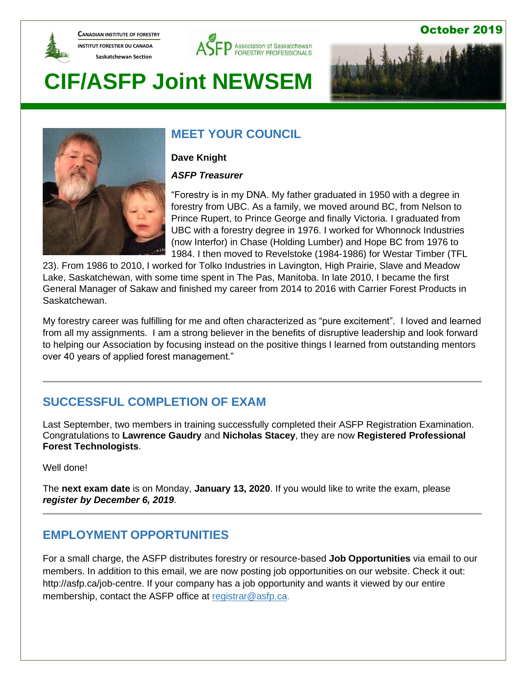

**CANADIAN INSTITUTE OF FORESTRY INSTITUT FORESTIER DU CANADA Saskatchewan Section** 



### October 2019

# **CIF/ASFP Joint NEWSEM**





# **MEET YOUR COUNCIL**

**Dave Knight**

*ASFP Treasurer*

"Forestry is in my DNA. My father graduated in 1950 with a degree in forestry from UBC. As a family, we moved around BC, from Nelson to Prince Rupert, to Prince George and finally Victoria. I graduated from UBC with a forestry degree in 1976. I worked for Whonnock Industries (now Interfor) in Chase (Holding Lumber) and Hope BC from 1976 to 1984. I then moved to Revelstoke (1984-1986) for Westar Timber (TFL

23). From 1986 to 2010, I worked for Tolko Industries in Lavington, High Prairie, Slave and Meadow Lake, Saskatchewan, with some time spent in The Pas, Manitoba. In late 2010, I became the first General Manager of Sakaw and finished my career from 2014 to 2016 with Carrier Forest Products in Saskatchewan.

My forestry career was fulfilling for me and often characterized as "pure excitement". I loved and learned from all my assignments. I am a strong believer in the benefits of disruptive leadership and look forward to helping our Association by focusing instead on the positive things I learned from outstanding mentors over 40 years of applied forest management."

# **SUCCESSFUL COMPLETION OF EXAM**

Last September, two members in training successfully completed their ASFP Registration Examination. Congratulations to **Lawrence Gaudry** and **Nicholas Stacey**, they are now **Registered Professional Forest Technologists**.

Well done!

The **next exam date** is on Monday, **January 13, 2020**. If you would like to write the exam, please *register by December 6, 2019*.

# **EMPLOYMENT OPPORTUNITIES**

For a small charge, the ASFP distributes forestry or resource-based **Job Opportunities** via email to our members. In addition to this email, we are now posting job opportunities on our website. Check it out: [http://asfp.ca/job-centre.](http://asfp.ca/job-centre) If your company has a job opportunity and wants it viewed by our entire membership, contact the ASFP office at [registrar@asfp.ca.](mailto:registrar@asfp.ca)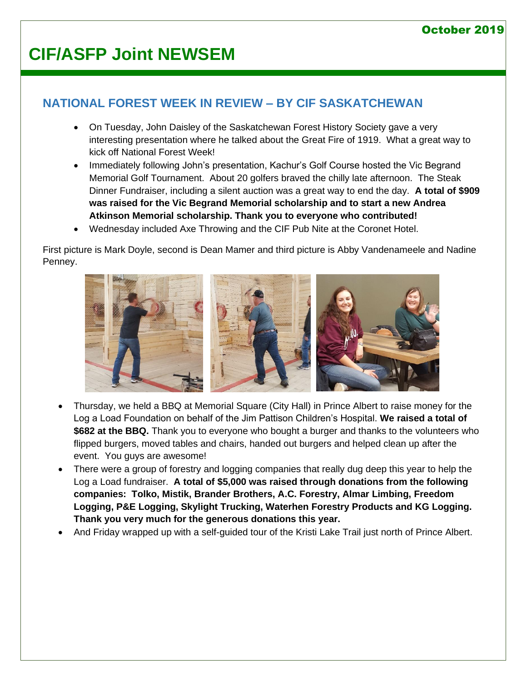# **CIF/ASFP Joint NEWSEM**

## **NATIONAL FOREST WEEK IN REVIEW – BY CIF SASKATCHEWAN**

- On Tuesday, John Daisley of the Saskatchewan Forest History Society gave a very interesting presentation where he talked about the Great Fire of 1919. What a great way to kick off National Forest Week!
- Immediately following John's presentation, Kachur's Golf Course hosted the Vic Begrand Memorial Golf Tournament. About 20 golfers braved the chilly late afternoon. The Steak Dinner Fundraiser, including a silent auction was a great way to end the day. **A total of \$909 was raised for the Vic Begrand Memorial scholarship and to start a new Andrea Atkinson Memorial scholarship. Thank you to everyone who contributed!**
- Wednesday included Axe Throwing and the CIF Pub Nite at the Coronet Hotel.

First picture is Mark Doyle, second is Dean Mamer and third picture is Abby Vandenameele and Nadine Penney.



- Thursday, we held a BBQ at Memorial Square (City Hall) in Prince Albert to raise money for the Log a Load Foundation on behalf of the Jim Pattison Children's Hospital. **We raised a total of \$682 at the BBQ.** Thank you to everyone who bought a burger and thanks to the volunteers who flipped burgers, moved tables and chairs, handed out burgers and helped clean up after the event. You guys are awesome!
- There were a group of forestry and logging companies that really dug deep this year to help the Log a Load fundraiser. **A total of \$5,000 was raised through donations from the following companies: Tolko, Mistik, Brander Brothers, A.C. Forestry, Almar Limbing, Freedom Logging, P&E Logging, Skylight Trucking, Waterhen Forestry Products and KG Logging. Thank you very much for the generous donations this year.**
- And Friday wrapped up with a self-guided tour of the Kristi Lake Trail just north of Prince Albert.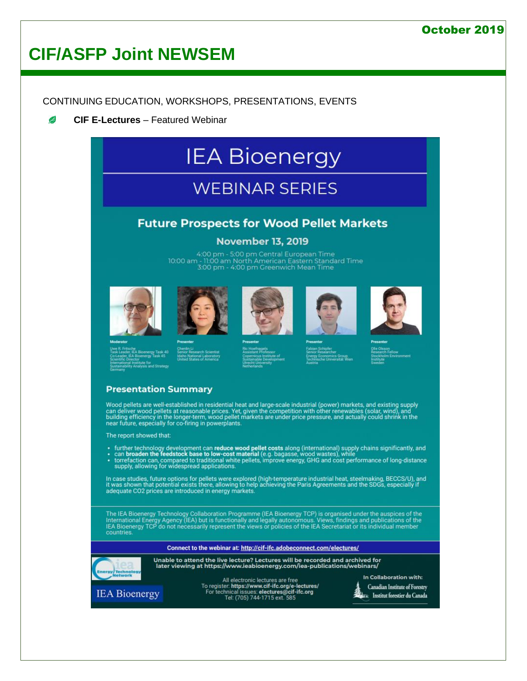# **CIF/ASFP Joint NEWSEM**

CONTINUING EDUCATION, WORKSHOPS, PRESENTATIONS, EVENTS

B **CIF E-Lectures** – Featured Webinar

# **IEA Bioenergy**

# **WEBINAR SERIES**

### **Future Prospects for Wood Pellet Markets**

### **November 13, 2019**

4:00 pm - 5:00 pm Central European Time 10:00 am - 11:00 am North American Eastern Standard Time<br>3:00 pm - 4:00 pm Greenwich Mean Time















### **Presentation Summary**

Wood pellets are well-established in residential heat and large-scale industrial (power) markets, and existing supply<br>can deliver wood pellets at reasonable prices. Yet, given the competition with other renewables (solar,

The report showed that:

- 
- further technology development can reduce wood pellet costs along (international) supply chains significantly, and<br>• can broaden the feedstock base to low-cost material (e.g. bagasse, wood wastes), while<br>• torrefaction c

In case studies, future options for pellets were explored (high-temperature industrial heat, steelmaking, BECCS/U), and<br>it was shown that potential exists there, allowing to help achieving the Paris Agreements and the SDGs

The IEA Bioenergy Technology Collaboration Programme (IEA Bioenergy TCP) is organised under the auspices of the<br>International Energy Agency (IEA) but is functionally and legally autonomous. Views, findings and publications countries

Connect to the webinar at: http://cif-ifc.adobeconnect.com/electures/



Unable to attend the live lecture? Lectures will be recorded and archived for later viewing at https://www.ieabioenergy.com/iea-publications/webinars/



All electronic lectures are free<br>To register: **https://www.cif-ifc.org/e-lectures/**<br>For technical issues: **electures@cif-ifc.org**<br>Tel: (705) 744-1715 ext. 585

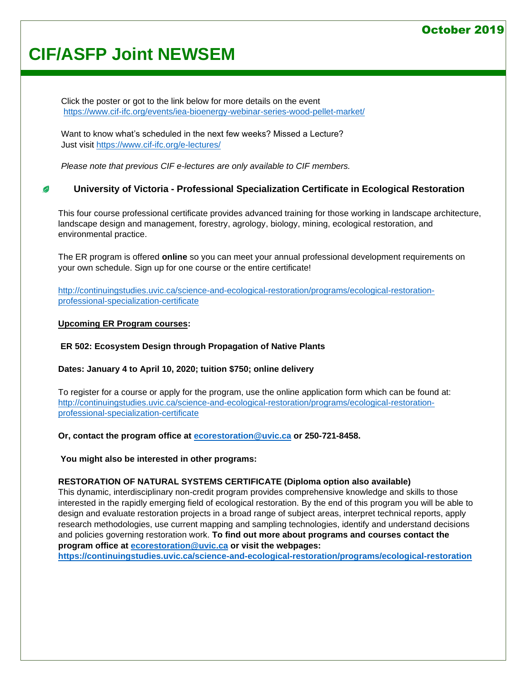# **CIF/ASFP Joint NEWSEM**

Click the poster or got to the link below for more details on the event <https://www.cif-ifc.org/events/iea-bioenergy-webinar-series-wood-pellet-market/>

Want to know what's scheduled in the next few weeks? Missed a Lecture? Just visit<https://www.cif-ifc.org/e-lectures/>

*Please note that previous CIF e-lectures are only available to CIF members.*

#### **University of Victoria - Professional Specialization Certificate in Ecological Restoration** B

This four course professional certificate provides advanced training for those working in landscape architecture, landscape design and management, forestry, agrology, biology, mining, ecological restoration, and environmental practice.

The ER program is offered **online** so you can meet your annual professional development requirements on your own schedule. Sign up for one course or the entire certificate!

[http://continuingstudies.uvic.ca/science-and-ecological-restoration/programs/ecological-restoration](http://continuingstudies.uvic.ca/science-and-ecological-restoration/programs/ecological-restoration-professional-specialization-certificate)[professional-specialization-certificate](http://continuingstudies.uvic.ca/science-and-ecological-restoration/programs/ecological-restoration-professional-specialization-certificate)

#### **Upcoming ER Program courses:**

**ER 502: Ecosystem Design through Propagation of Native Plants**

**Dates: January 4 to April 10, 2020; tuition \$750; online delivery**

To register for a course or apply for the program, use the online application form which can be found at: [http://continuingstudies.uvic.ca/science-and-ecological-restoration/programs/ecological-restoration](http://continuingstudies.uvic.ca/science-and-ecological-restoration/programs/ecological-restoration-professional-specialization-certificate)[professional-specialization-certificate](http://continuingstudies.uvic.ca/science-and-ecological-restoration/programs/ecological-restoration-professional-specialization-certificate)

**Or, contact the program office at [ecorestoration@uvic.ca](mailto:ecorestoration@uvic.ca) or 250-721-8458.**

**You might also be interested in other programs:**

### **RESTORATION OF NATURAL SYSTEMS CERTIFICATE (Diploma option also available)**

This dynamic, interdisciplinary non-credit program provides comprehensive knowledge and skills to those interested in the rapidly emerging field of ecological restoration. By the end of this program you will be able to design and evaluate restoration projects in a broad range of subject areas, interpret technical reports, apply research methodologies, use current mapping and sampling technologies, identify and understand decisions and policies governing restoration work. **To find out more about programs and courses contact the program office at [ecorestoration@uvic.ca](mailto:ecorestoration@uvic.ca) or visit the webpages:** 

**<https://continuingstudies.uvic.ca/science-and-ecological-restoration/programs/ecological-restoration>**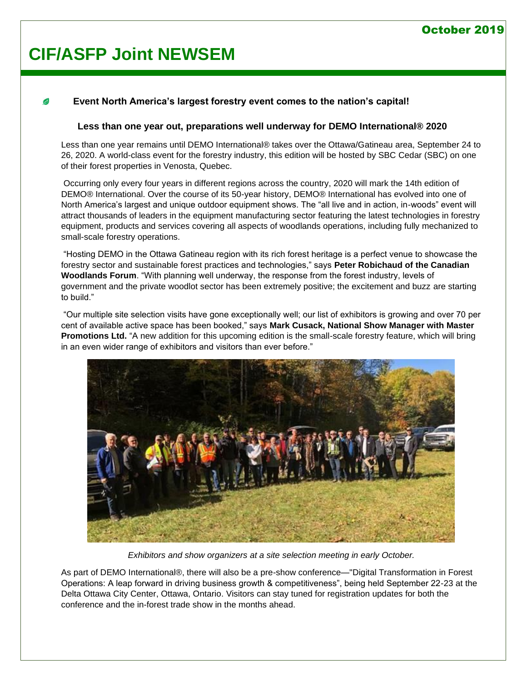# **CIF/ASFP Joint NEWSEM**

### **Event North America's largest forestry event comes to the nation's capital!**

#### **Less than one year out, preparations well underway for DEMO International® 2020**

Less than one year remains until DEMO International® takes over the Ottawa/Gatineau area, September 24 to 26, 2020. A world-class event for the forestry industry, this edition will be hosted by SBC Cedar (SBC) on one of their forest properties in Venosta, Quebec.

Occurring only every four years in different regions across the country, 2020 will mark the 14th edition of DEMO® International. Over the course of its 50-year history, DEMO® International has evolved into one of North America's largest and unique outdoor equipment shows. The "all live and in action, in-woods" event will attract thousands of leaders in the equipment manufacturing sector featuring the latest technologies in forestry equipment, products and services covering all aspects of woodlands operations, including fully mechanized to small-scale forestry operations.

"Hosting DEMO in the Ottawa Gatineau region with its rich forest heritage is a perfect venue to showcase the forestry sector and sustainable forest practices and technologies," says **Peter Robichaud of the Canadian Woodlands Forum**. "With planning well underway, the response from the forest industry, levels of government and the private woodlot sector has been extremely positive; the excitement and buzz are starting to build."

"Our multiple site selection visits have gone exceptionally well; our list of exhibitors is growing and over 70 per cent of available active space has been booked," says **Mark Cusack, National Show Manager with Master Promotions Ltd.** "A new addition for this upcoming edition is the small-scale forestry feature, which will bring in an even wider range of exhibitors and visitors than ever before."



*Exhibitors and show organizers at a site selection meeting in early October.*

As part of DEMO International®, there will also be a pre-show conference—"Digital Transformation in Forest Operations: A leap forward in driving business growth & competitiveness", being held September 22-23 at the Delta Ottawa City Center, Ottawa, Ontario. Visitors can stay tuned for registration updates for both the conference and the in-forest trade show in the months ahead.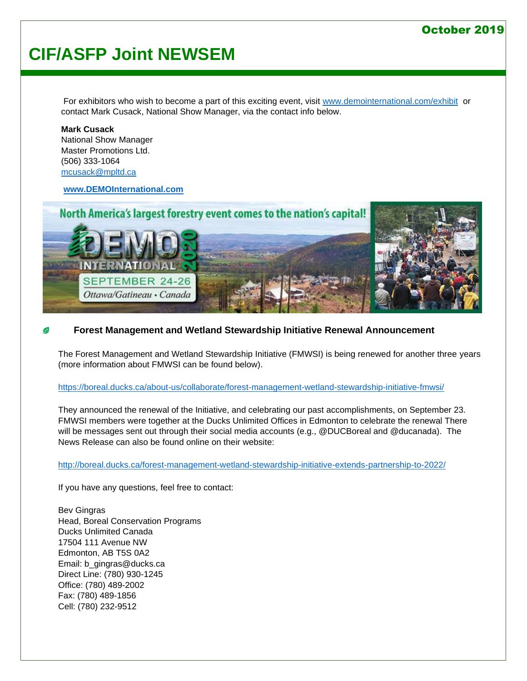# **CIF/ASFP Joint NEWSEM**

For exhibitors who wish to become a part of this exciting event, visit [www.demointernational.com/exhibit](http://www.demointernational.com/exhibit) or contact Mark Cusack, National Show Manager, via the contact info below.

**Mark Cusack** National Show Manager Master Promotions Ltd. (506) 333-1064 [mcusack@mpltd.ca](mailto:mcusack@mpltd.ca)

**[www.DEMOInternational.com](http://www.demointernational.com/)**



### **Forest Management and Wetland Stewardship Initiative Renewal Announcement**

The Forest Management and Wetland Stewardship Initiative (FMWSI) is being renewed for another three years (more information about FMWSI can be found below).

#### <https://boreal.ducks.ca/about-us/collaborate/forest-management-wetland-stewardship-initiative-fmwsi/>

They announced the renewal of the Initiative, and celebrating our past accomplishments, on September 23. FMWSI members were together at the Ducks Unlimited Offices in Edmonton to celebrate the renewal There will be messages sent out through their social media accounts (e.g., @DUCBoreal and @ducanada). The News Release can also be found online on their website:

<http://boreal.ducks.ca/forest-management-wetland-stewardship-initiative-extends-partnership-to-2022/>

If you have any questions, feel free to contact:

Bev Gingras Head, Boreal Conservation Programs Ducks Unlimited Canada 17504 111 Avenue NW Edmonton, AB T5S 0A2 Email: b\_gingras@ducks.ca Direct Line: (780) 930-1245 Office: (780) 489-2002 Fax: (780) 489-1856 Cell: (780) 232-9512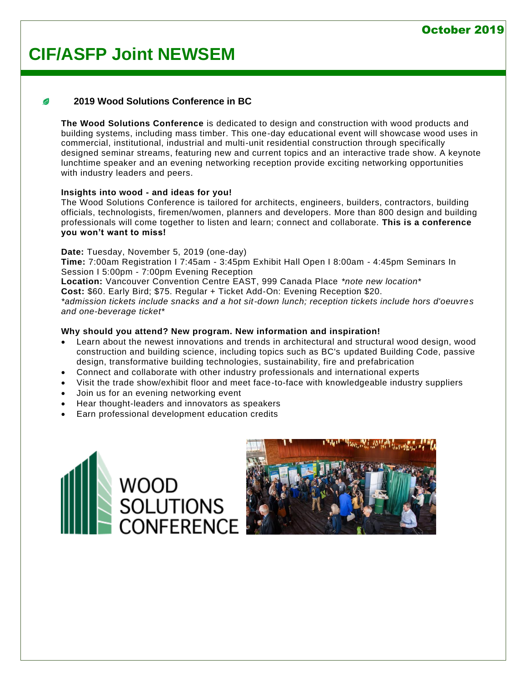# **CIF/ASFP Joint NEWSEM**

### **2019 Wood Solutions Conference in BC**

**The Wood Solutions Conference** is dedicated to design and construction with wood products and building systems, including mass timber. This one-day educational event will showcase wood uses in commercial, institutional, industrial and multi-unit residential construction through specifically designed seminar streams, featuring new and current topics and an interactive trade show. A keynote lunchtime speaker and an evening networking reception provide exciting networking opportunities with industry leaders and peers.

### **Insights into wood - and ideas for you!**

The Wood Solutions Conference is tailored for architects, engineers, builders, contractors, building officials, technologists, firemen/women, planners and developers. More than 800 design and building professionals will come together to listen and learn; connect and collaborate. **This is a conference you won't want to miss!** 

#### **Date:** Tuesday, November 5, 2019 (one-day)

**Time:** 7:00am Registration I 7:45am - 3:45pm Exhibit Hall Open I 8:00am - 4:45pm Seminars In Session I 5:00pm - 7:00pm Evening Reception

**Location:** Vancouver Convention Centre EAST, 999 Canada Place *\*note new location\**

**Cost:** \$60. Early Bird; \$75. Regular + Ticket Add-On: Evening Reception \$20.

*\*admission tickets include snacks and a hot sit-down lunch; reception tickets include hors d'oeuvres and one-beverage ticket\**

### **Why should you attend? New program. New information and inspiration!**

- Learn about the newest innovations and trends in architectural and structural wood design, wood construction and building science, including topics such as BC's updated Building Code, passive design, transformative building technologies, sustainability, fire and prefabrication
- Connect and collaborate with other industry professionals and international experts
- Visit the trade show/exhibit floor and meet face-to-face with knowledgeable industry suppliers
- Join us for an evening networking event
- Hear thought-leaders and innovators as speakers
- Earn professional development education credits